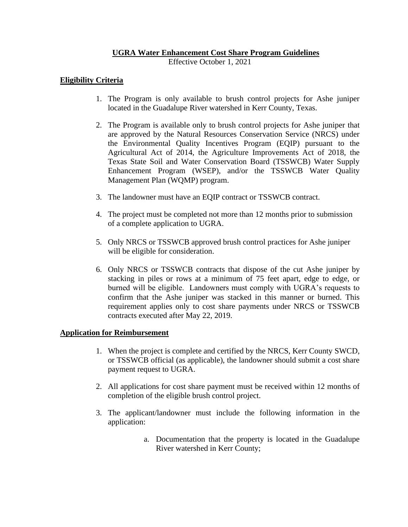# **UGRA Water Enhancement Cost Share Program Guidelines**

Effective October 1, 2021

# **Eligibility Criteria**

- 1. The Program is only available to brush control projects for Ashe juniper located in the Guadalupe River watershed in Kerr County, Texas.
- 2. The Program is available only to brush control projects for Ashe juniper that are approved by the Natural Resources Conservation Service (NRCS) under the Environmental Quality Incentives Program (EQIP) pursuant to the Agricultural Act of 2014, the Agriculture Improvements Act of 2018, the Texas State Soil and Water Conservation Board (TSSWCB) Water Supply Enhancement Program (WSEP), and/or the TSSWCB Water Quality Management Plan (WQMP) program.
- 3. The landowner must have an EQIP contract or TSSWCB contract.
- 4. The project must be completed not more than 12 months prior to submission of a complete application to UGRA.
- 5. Only NRCS or TSSWCB approved brush control practices for Ashe juniper will be eligible for consideration.
- 6. Only NRCS or TSSWCB contracts that dispose of the cut Ashe juniper by stacking in piles or rows at a minimum of 75 feet apart, edge to edge, or burned will be eligible. Landowners must comply with UGRA's requests to confirm that the Ashe juniper was stacked in this manner or burned. This requirement applies only to cost share payments under NRCS or TSSWCB contracts executed after May 22, 2019.

### **Application for Reimbursement**

- 1. When the project is complete and certified by the NRCS, Kerr County SWCD, or TSSWCB official (as applicable), the landowner should submit a cost share payment request to UGRA.
- 2. All applications for cost share payment must be received within 12 months of completion of the eligible brush control project.
- 3. The applicant/landowner must include the following information in the application:
	- a. Documentation that the property is located in the Guadalupe River watershed in Kerr County;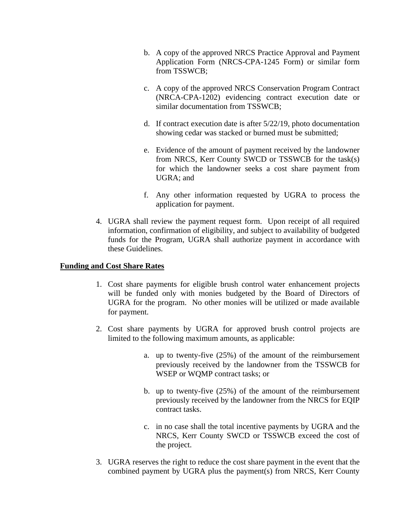- b. A copy of the approved NRCS Practice Approval and Payment Application Form (NRCS-CPA-1245 Form) or similar form from TSSWCB;
- c. A copy of the approved NRCS Conservation Program Contract (NRCA-CPA-1202) evidencing contract execution date or similar documentation from TSSWCB;
- d. If contract execution date is after 5/22/19, photo documentation showing cedar was stacked or burned must be submitted;
- e. Evidence of the amount of payment received by the landowner from NRCS, Kerr County SWCD or TSSWCB for the task(s) for which the landowner seeks a cost share payment from UGRA; and
- f. Any other information requested by UGRA to process the application for payment.
- 4. UGRA shall review the payment request form. Upon receipt of all required information, confirmation of eligibility, and subject to availability of budgeted funds for the Program, UGRA shall authorize payment in accordance with these Guidelines.

# **Funding and Cost Share Rates**

- 1. Cost share payments for eligible brush control water enhancement projects will be funded only with monies budgeted by the Board of Directors of UGRA for the program. No other monies will be utilized or made available for payment.
- 2. Cost share payments by UGRA for approved brush control projects are limited to the following maximum amounts, as applicable:
	- a. up to twenty-five (25%) of the amount of the reimbursement previously received by the landowner from the TSSWCB for WSEP or WQMP contract tasks; or
	- b. up to twenty-five (25%) of the amount of the reimbursement previously received by the landowner from the NRCS for EQIP contract tasks.
	- c. in no case shall the total incentive payments by UGRA and the NRCS, Kerr County SWCD or TSSWCB exceed the cost of the project.
- 3. UGRA reserves the right to reduce the cost share payment in the event that the combined payment by UGRA plus the payment(s) from NRCS, Kerr County